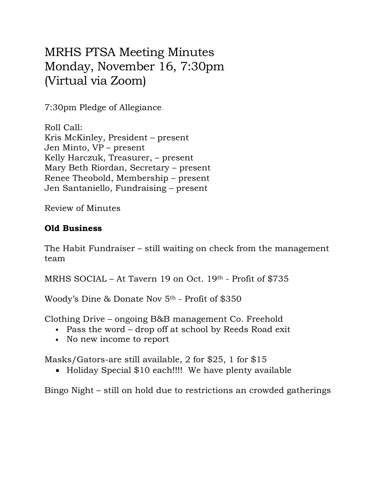## MRHS PTSA Meeting Minutes Monday, November 16, 7:30pm (Virtual via Zoom)

7:30pm Pledge of Allegiance

Roll Call: Kris McKinley, President – present Jen Minto, VP – present Kelly Harczuk, Treasurer, – present Mary Beth Riordan, Secretary – present Renee Theobold, Membership – present Jen Santaniello, Fundraising – present

Review of Minutes

## **Old Business**

The Habit Fundraiser – still waiting on check from the management team

MRHS SOCIAL – At Tavern 19 on Oct. 19th - Profit of \$735

Woody's Dine & Donate Nov 5th - Profit of \$350

Clothing Drive – ongoing B&B management Co. Freehold

- Pass the word drop off at school by Reeds Road exit
- No new income to report

Masks/Gators-are still available, 2 for \$25, 1 for \$15

• Holiday Special \$10 each!!!! We have plenty available

Bingo Night – still on hold due to restrictions an crowded gatherings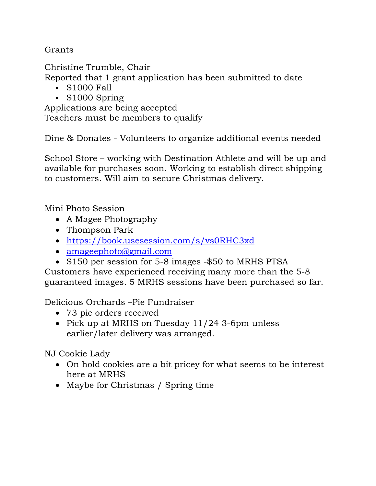**Grants** 

Christine Trumble, Chair

Reported that 1 grant application has been submitted to date

- \$1000 Fall
- \$1000 Spring

Applications are being accepted Teachers must be members to qualify

Dine & Donates - Volunteers to organize additional events needed

School Store – working with Destination Athlete and will be up and available for purchases soon. Working to establish direct shipping to customers. Will aim to secure Christmas delivery.

Mini Photo Session

- A Magee Photography
- Thompson Park
- https://book.usesession.com/s/vs0RHC3xd
- amageephoto@gmail.com
- \$150 per session for 5-8 images -\$50 to MRHS PTSA

Customers have experienced receiving many more than the 5-8 guaranteed images. 5 MRHS sessions have been purchased so far.

Delicious Orchards –Pie Fundraiser

- 73 pie orders received
- Pick up at MRHS on Tuesday 11/24 3-6pm unless earlier/later delivery was arranged.

NJ Cookie Lady

- On hold cookies are a bit pricey for what seems to be interest here at MRHS
- Maybe for Christmas / Spring time